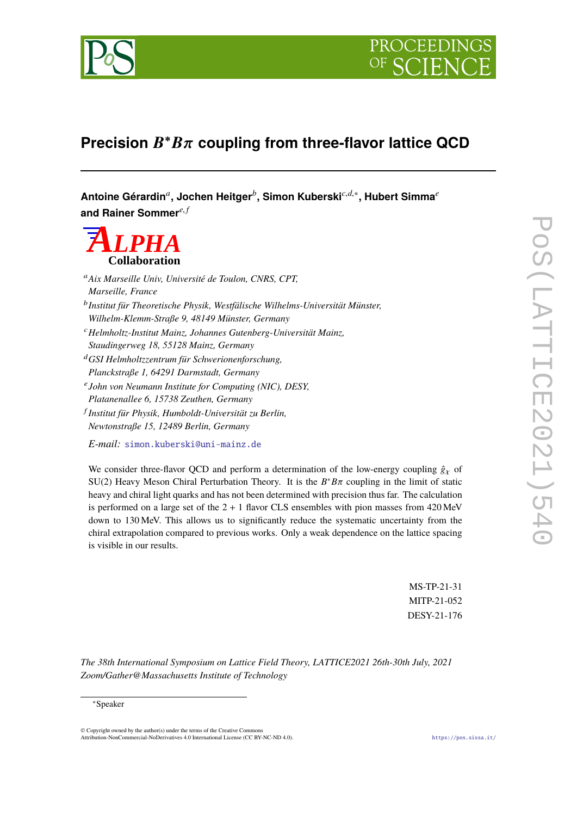



## **Precision** B <sup>∗</sup>Bπ **coupling from three-flavor lattice QCD**

**Antoine Gérardin***<sup>a</sup>* **, Jochen Heitger***<sup>b</sup>* **, Simon Kuberski***c*,*d*,<sup>∗</sup> **, Hubert Simma***<sup>e</sup>* **and Rainer Sommer***e*, *<sup>f</sup>*

# *ALPHA* **Collaboration**

<sup>a</sup>*Aix Marseille Univ, Université de Toulon, CNRS, CPT, Marseille, France* b *Institut für Theoretische Physik, Westfälische Wilhelms-Universität Münster, Wilhelm-Klemm-Straße 9, 48149 Münster, Germany* <sup>c</sup>*Helmholtz-Institut Mainz, Johannes Gutenberg-Universität Mainz, Staudingerweg 18, 55128 Mainz, Germany* <sup>d</sup>*GSI Helmholtzzentrum für Schwerionenforschung, Planckstraße 1, 64291 Darmstadt, Germany* e *John von Neumann Institute for Computing (NIC), DESY, Platanenallee 6, 15738 Zeuthen, Germany* f *Institut für Physik, Humboldt-Universität zu Berlin, Newtonstraße 15, 12489 Berlin, Germany E-mail:* [simon.kuberski@uni-mainz.de](mailto:simon.kuberski@uni-mainz.de)

We consider three-flavor QCD and perform a determination of the low-energy coupling  $\hat{g}_Y$  of SU(2) Heavy Meson Chiral Perturbation Theory. It is the  $B^*B\pi$  coupling in the limit of static heavy and object quarks and has not been determined with precision thus for The selection heavy and chiral light quarks and has not been determined with precision thus far. The calculation is performed on a large set of the  $2 + 1$  flavor CLS ensembles with pion masses from  $420 \text{ MeV}$ down to 130 MeV. This allows us to significantly reduce the systematic uncertainty from the chiral extrapolation compared to previous works. Only a weak dependence on the lattice spacing is visible in our results.

> MS-TP-21-31 MITP-21-052 DESY-21-176

*The 38th International Symposium on Lattice Field Theory, LATTICE2021 26th-30th July, 2021 Zoom/Gather@Massachusetts Institute of Technology*

#### <sup>∗</sup>Speaker

© Copyright owned by the author(s) under the terms of the Creative Commons Attribution-NonCommercial-NoDerivatives 4.0 International License (CC BY-NC-ND 4.0). <https://pos.sissa.it/>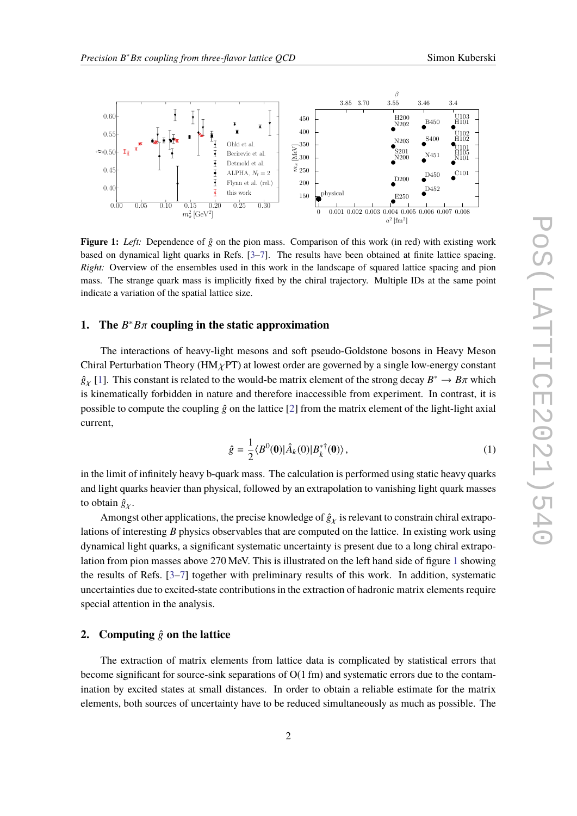<span id="page-1-0"></span>

**Figure 1:** *Left:* Dependence of  $\hat{g}$  on the pion mass. Comparison of this work (in red) with existing work based on dynamical light quarks in Refs. [\[3](#page-6-0)[–7\]](#page-7-0). The results have been obtained at finite lattice spacing. *Right:* Overview of the ensembles used in this work in the landscape of squared lattice spacing and pion mass. The strange quark mass is implicitly fixed by the chiral trajectory. Multiple IDs at the same point indicate a variation of the spatial lattice size.

### **1.** The  $B^*B\pi$  coupling in the static approximation

The interactions of heavy-light mesons and soft pseudo-Goldstone bosons in Heavy Meson Chiral Perturbation Theory ( $HM_{\chi}PT$ ) at lowest order are governed by a single low-energy constant  $\hat{g}_{\chi}$  [\[1\]](#page-6-1). This constant is related to the would-be matrix element of the strong decay  $B^* \to B\pi$  which is kinematically factorized in nature and therefore increases ihle from experiment. In contract, it is is kinematically forbidden in nature and therefore inaccessible from experiment. In contrast, it is possible to compute the coupling  $\hat{g}$  on the lattice [\[2\]](#page-6-2) from the matrix element of the light-light axial current,

$$
\hat{g} = \frac{1}{2} \langle B^{0}(0) | \hat{A}_{k}(0) | B_{k}^{* \dagger}(0) \rangle, \tag{1}
$$

in the limit of infinitely heavy b-quark mass. The calculation is performed using static heavy quarks and light quarks heavier than physical, followed by an extrapolation to vanishing light quark masses to obtain  $\hat{g}_\chi$ .

Amongst other applications, the precise knowledge of  $\hat{g}_\chi$  is relevant to constrain chiral extrapolations of interesting *B* physics observables that are computed on the lattice. In existing work using dynamical light quarks, a significant systematic uncertainty is present due to a long chiral extrapolation from pion masses above 270 MeV. This is illustrated on the left hand side of figure [1](#page-1-0) showing the results of Refs. [\[3–](#page-6-0)[7\]](#page-7-0) together with preliminary results of this work. In addition, systematic uncertainties due to excited-state contributions in the extraction of hadronic matrix elements require special attention in the analysis.

#### **2.** Computing  $\hat{g}$  on the lattice

The extraction of matrix elements from lattice data is complicated by statistical errors that become significant for source-sink separations of O(1 fm) and systematic errors due to the contamination by excited states at small distances. In order to obtain a reliable estimate for the matrix elements, both sources of uncertainty have to be reduced simultaneously as much as possible. The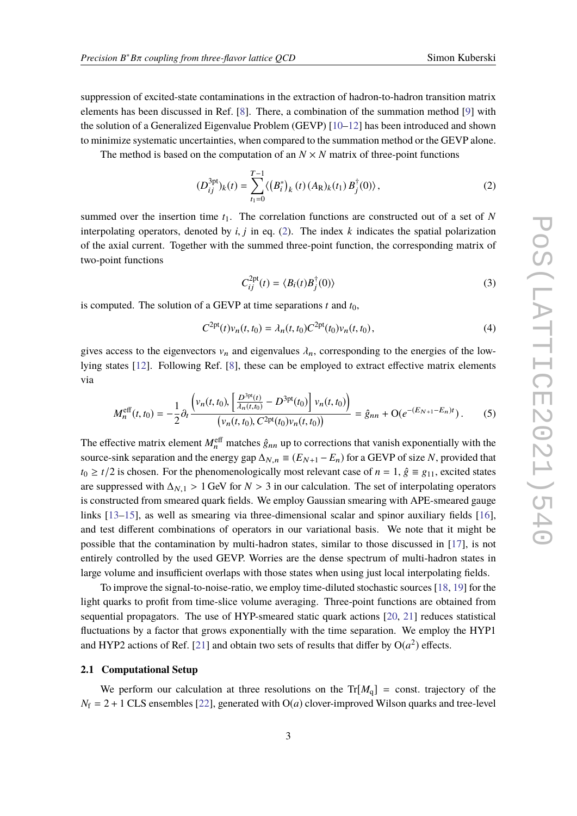suppression of excited-state contaminations in the extraction of hadron-to-hadron transition matrix elements has been discussed in Ref. [\[8\]](#page-7-1). There, a combination of the summation method [\[9\]](#page-7-2) with the solution of a Generalized Eigenvalue Problem (GEVP) [\[10](#page-7-3)[–12\]](#page-7-4) has been introduced and shown to minimize systematic uncertainties, when compared to the summation method or the GEVP alone.

The method is based on the computation of an  $N \times N$  matrix of three-point functions

$$
(D_{ij}^{3pt})_k(t) = \sum_{t_1=0}^{T-1} \langle (B_i^*)_k(t) (A_{\mathbb{R}})_k(t_1) B_j^{\dagger}(0) \rangle, \qquad (2)
$$

summed over the insertion time  $t_1$ . The correlation functions are constructed out of a set of N interpolating operators, denoted by  $i$ ,  $j$  in eq. [\(2\)](#page-2-0). The index  $k$  indicates the spatial polarization of the axial current. Together with the summed three-point function, the corresponding matrix of two-point functions

<span id="page-2-1"></span><span id="page-2-0"></span>
$$
C_{ij}^{2pt}(t) = \langle B_i(t)B_j^{\dagger}(0)\rangle
$$
\n(3)

is computed. The solution of a GEVP at time separations  $t$  and  $t_0$ ,

$$
C^{2pt}(t)v_n(t,t_0) = \lambda_n(t,t_0)C^{2pt}(t_0)v_n(t,t_0),
$$
\n(4)

gives access to the eigenvectors  $v_n$  and eigenvalues  $\lambda_n$ , corresponding to the energies of the lowlying states [\[12\]](#page-7-4). Following Ref. [\[8\]](#page-7-1), these can be employed to extract effective matrix elements via

$$
M_n^{\text{eff}}(t,t_0) = -\frac{1}{2}\partial_t \frac{\left(\nu_n(t,t_0), \left[\frac{D^{3\text{pt}}(t)}{\lambda_n(t,t_0)} - D^{3\text{pt}}(t_0)\right] \nu_n(t,t_0)\right)}{\left(\nu_n(t,t_0), C^{2\text{pt}}(t_0) \nu_n(t,t_0)\right)} = \hat{g}_{nn} + \mathcal{O}(e^{-(E_{N+1} - E_n)t}).
$$
 (5)

The effective matrix element  $M_n^{\text{eff}}$  matches  $\hat{g}_{nn}$  up to corrections that vanish exponentially with the source-sink separation and the energy gap  $\Delta_{N,n} \equiv (E_{N+1} - E_n)$  for a GEVP of size *N*, provided that  $t_0 \geq t/2$  is chosen. For the phenomenologically most relevant case of  $n = 1$ ,  $\hat{g} \equiv g_{11}$ , excited states are suppressed with  $\Delta_{N,1} > 1$  GeV for  $N > 3$  in our calculation. The set of interpolating operators is constructed from smeared quark fields. We employ Gaussian smearing with APE-smeared gauge links [\[13](#page-7-5)[–15\]](#page-7-6), as well as smearing via three-dimensional scalar and spinor auxiliary fields [\[16\]](#page-7-7), and test different combinations of operators in our variational basis. We note that it might be possible that the contamination by multi-hadron states, similar to those discussed in [\[17\]](#page-7-8), is not entirely controlled by the used GEVP. Worries are the dense spectrum of multi-hadron states in large volume and insufficient overlaps with those states when using just local interpolating fields.

To improve the signal-to-noise-ratio, we employ time-diluted stochastic sources [\[18,](#page-7-9) [19\]](#page-7-10) for the light quarks to profit from time-slice volume averaging. Three-point functions are obtained from sequential propagators. The use of HYP-smeared static quark actions [\[20,](#page-8-0) [21\]](#page-8-1) reduces statistical fluctuations by a factor that grows exponentially with the time separation. We employ the HYP1 and HYP2 actions of Ref. [\[21\]](#page-8-1) and obtain two sets of results that differ by  $O(a^2)$  effects.

#### **2.1 Computational Setup**

We perform our calculation at three resolutions on the  $Tr[M_q] = \text{const.}$  trajectory of the  $N_f = 2 + 1$  CLS ensembles [\[22\]](#page-8-2), generated with O(*a*) clover-improved Wilson quarks and tree-level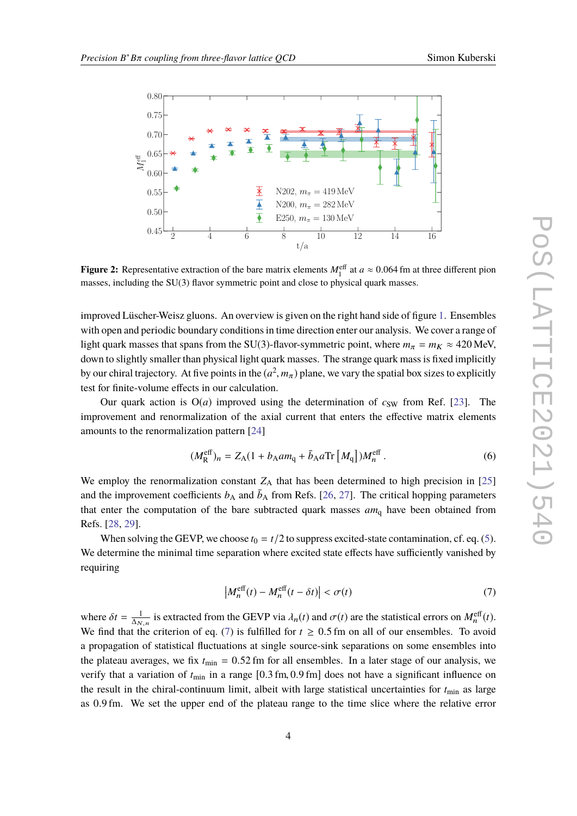<span id="page-3-1"></span>

**Figure 2:** Representative extraction of the bare matrix elements  $M_1^{\text{eff}}$  at  $a \approx 0.064$  fm at three different pion masses, including the SU(2) flower symmetric point and close to physical quark masses. masses, including the SU(3) flavor symmetric point and close to physical quark masses.

improved Lüscher-Weisz gluons. An overview is given on the right hand side of figure [1.](#page-1-0) Ensembles with open and periodic boundary conditions in time direction enter our analysis. We cover a range of light quark masses that spans from the SU(3)-flavor-symmetric point, where  $m_{\pi} = m_K \approx 420$  MeV, down to slightly smaller than physical light quark masses. The strange quark mass is fixed implicitly by our chiral trajectory. At five points in the  $(a^2, m_\pi)$  plane, we vary the spatial box sizes to explicitly test for finite volume offects in our coloulation. test for finite-volume effects in our calculation.

Our quark action is  $O(a)$  improved using the determination of  $c_{SW}$  from Ref. [\[23\]](#page-8-3). The improvement and renormalization of the axial current that enters the effective matrix elements amounts to the renormalization pattern [\[24\]](#page-8-4)

$$
(M_{\rm R}^{\rm eff})_n = Z_{\rm A} (1 + b_{\rm A} a m_{\rm q} + \bar{b}_{\rm A} a \text{Tr} \left[ M_{\rm q} \right]) M_n^{\rm eff} \,. \tag{6}
$$

We employ the renormalization constant  $Z_A$  that has been determined to high precision in [\[25\]](#page-8-5) and the improvement coefficients  $b_A$  and  $\bar{b}_A$  from Refs. [\[26,](#page-8-6) [27\]](#page-8-7). The critical hopping parameters that enter the computation of the bare subtracted quark masses *am*<sup>q</sup> have been obtained from Refs. [\[28,](#page-8-8) [29\]](#page-8-9).

When solving the GEVP, we choose  $t_0 = t/2$  to suppress excited-state contamination, cf. eq. [\(5\)](#page-2-1). We determine the minimal time separation where excited state effects have sufficiently vanished by requiring

<span id="page-3-0"></span>
$$
\left| M_n^{\text{eff}}(t) - M_n^{\text{eff}}(t - \delta t) \right| < \sigma(t) \tag{7}
$$

where  $\delta t = \frac{1}{\Delta_{N,n}}$  is extracted from the GEVP via  $\lambda_n(t)$  and  $\sigma(t)$  are the statistical errors on  $M_n^{\text{eff}}(t)$ .<br>We find that the exiterion of as (7) is fulfilled for  $t > 0.5$  fm on all of our apparables. To avoid We find that the criterion of eq. [\(7\)](#page-3-0) is fulfilled for  $t \geq 0.5$  fm on all of our ensembles. To avoid a propagation of statistical fluctuations at single source-sink separations on some ensembles into the plateau averages, we fix  $t_{\text{min}} = 0.52$  fm for all ensembles. In a later stage of our analysis, we verify that a variation of  $t_{\text{min}}$  in a range  $[0.3 \text{ fm}, 0.9 \text{ fm}]$  does not have a significant influence on the result in the chiral-continuum limit, albeit with large statistical uncertainties for  $t_{\text{min}}$  as large as <sup>0</sup>.<sup>9</sup> fm. We set the upper end of the plateau range to the time slice where the relative error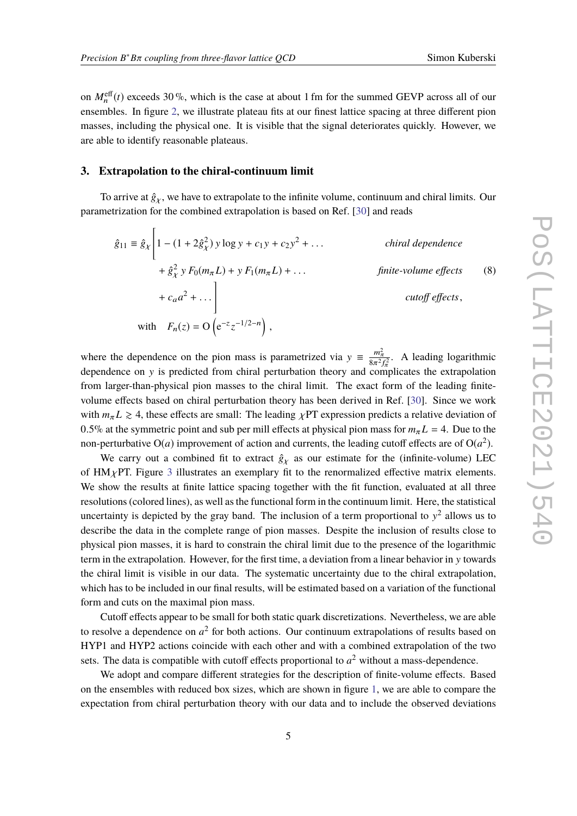on  $M_n^{\text{eff}}(t)$  exceeds 30 %, which is the case at about 1 fm for the summed GEVP across all of our ensembles. In figure [2,](#page-3-1) we illustrate plateau fits at our finest lattice spacing at three different pion masses, including the physical one. It is visible that the signal deteriorates quickly. However, we are able to identify reasonable plateaus.

#### **3. Extrapolation to the chiral-continuum limit**

To arrive at  $\hat{g}_\gamma$ , we have to extrapolate to the infinite volume, continuum and chiral limits. Our parametrization for the combined extrapolation is based on Ref. [\[30\]](#page-8-10) and reads

$$
\hat{g}_{11} = \hat{g}_{\chi} \left[ 1 - (1 + 2\hat{g}_{\chi}^{2}) y \log y + c_{1} y + c_{2} y^{2} + \dots \right] \qquad \text{chiral dependence}
$$
\n
$$
+ \hat{g}_{\chi}^{2} y F_{0}(m_{\pi} L) + y F_{1}(m_{\pi} L) + \dots \qquad \text{finite-volume effects}
$$
\n
$$
+ c_{a} a^{2} + \dots \bigg\} \qquad \text{cutoff effects},
$$
\nwith  $F_{n}(z) = O\left(e^{-z} z^{-1/2 - n}\right)$ ,

where the dependence on the pion mass is parametrized via  $y = \frac{m_{\pi}^2}{8\pi^2 f_{\pi}^2}$ . A leading logarithmic dependence on y is predicted from chiral perturbation theory and complicates the extrapolation dependence on y is predicted from chiral perturbation theory and complicates the extrapolation from larger-than-physical pion masses to the chiral limit. The exact form of the leading finitevolume effects based on chiral perturbation theory has been derived in Ref. [\[30\]](#page-8-10). Since we work with  $m_{\pi} L \geq 4$ , these effects are small: The leading  $\chi$ PT expression predicts a relative deviation of 0.5% at the symmetric point and sub per mill effects at physical pion mass for  $m<sub>\pi</sub> L = 4$ . Due to the non-perturbative  $O(a)$  improvement of action and currents, the leading cutoff effects are of  $O(a^2)$ .

We carry out a combined fit to extract  $\hat{g}_Y$  as our estimate for the (infinite-volume) LEC of  $HM<sub>X</sub>PT$ . Figure [3](#page-5-0) illustrates an exemplary fit to the renormalized effective matrix elements. We show the results at finite lattice spacing together with the fit function, evaluated at all three resolutions (colored lines), as well as the functional form in the continuum limit. Here, the statistical uncertainty is depicted by the gray band. The inclusion of a term proportional to  $y^2$  allows us to describe the data in the complete range of pion masses. Despite the inclusion of results close to physical pion masses, it is hard to constrain the chiral limit due to the presence of the logarithmic term in the extrapolation. However, for the first time, a deviation from a linear behavior in y towards the chiral limit is visible in our data. The systematic uncertainty due to the chiral extrapolation, which has to be included in our final results, will be estimated based on a variation of the functional form and cuts on the maximal pion mass.

Cutoff effects appear to be small for both static quark discretizations. Nevertheless, we are able to resolve a dependence on  $a^2$  for both actions. Our continuum extrapolations of results based on HYP1 and HYP2 actions coincide with each other and with a combined extrapolation of the two sets. The data is compatible with cutoff effects proportional to  $a<sup>2</sup>$  without a mass-dependence.

We adopt and compare different strategies for the description of finite-volume effects. Based on the ensembles with reduced box sizes, which are shown in figure [1,](#page-1-0) we are able to compare the expectation from chiral perturbation theory with our data and to include the observed deviations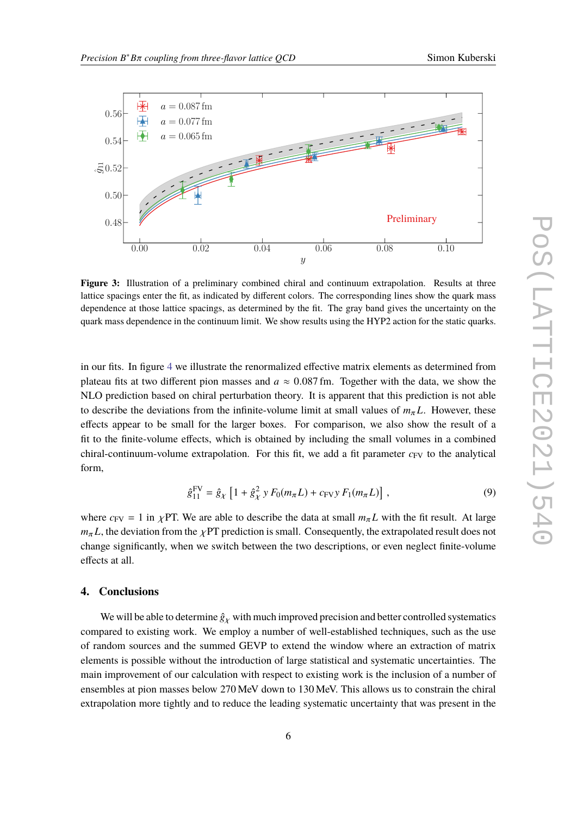<span id="page-5-0"></span>

**Figure 3:** Illustration of a preliminary combined chiral and continuum extrapolation. Results at three lattice spacings enter the fit, as indicated by different colors. The corresponding lines show the quark mass dependence at those lattice spacings, as determined by the fit. The gray band gives the uncertainty on the quark mass dependence in the continuum limit. We show results using the HYP2 action for the static quarks.

in our fits. In figure [4](#page-6-3) we illustrate the renormalized effective matrix elements as determined from plateau fits at two different pion masses and  $a \approx 0.087$  fm. Together with the data, we show the NLO prediction based on chiral perturbation theory. It is apparent that this prediction is not able to describe the deviations from the infinite-volume limit at small values of  $m<sub>\pi</sub> L$ . However, these effects appear to be small for the larger boxes. For comparison, we also show the result of a fit to the finite-volume effects, which is obtained by including the small volumes in a combined chiral-continuum-volume extrapolation. For this fit, we add a fit parameter  $c_{FV}$  to the analytical form,

$$
\hat{g}_{11}^{\text{FV}} = \hat{g}_{\chi} \left[ 1 + \hat{g}_{\chi}^2 y F_0(m_{\pi} L) + c_{\text{FV}} y F_1(m_{\pi} L) \right],\tag{9}
$$

where  $c_{\text{FV}} = 1$  in  $\chi$ PT. We are able to describe the data at small  $m_{\pi}L$  with the fit result. At large  $m_{\pi}L$ , the deviation from the  $\chi$ PT prediction is small. Consequently, the extrapolated result does not change significantly, when we switch between the two descriptions, or even neglect finite-volume effects at all.

#### **4. Conclusions**

We will be able to determine  $\hat{g}_\chi$  with much improved precision and better controlled systematics compared to existing work. We employ a number of well-established techniques, such as the use of random sources and the summed GEVP to extend the window where an extraction of matrix elements is possible without the introduction of large statistical and systematic uncertainties. The main improvement of our calculation with respect to existing work is the inclusion of a number of ensembles at pion masses below 270 MeV down to 130 MeV. This allows us to constrain the chiral extrapolation more tightly and to reduce the leading systematic uncertainty that was present in the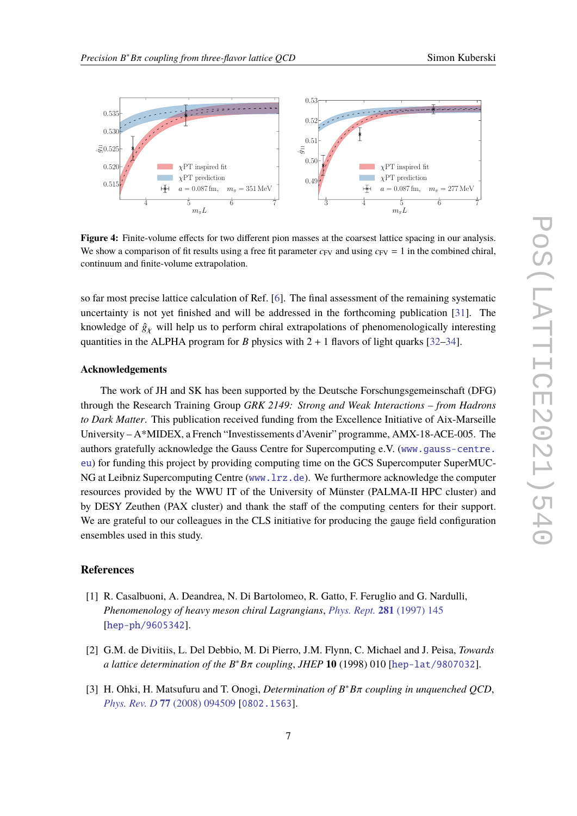<span id="page-6-3"></span>

Figure 4: Finite-volume effects for two different pion masses at the coarsest lattice spacing in our analysis. We show a comparison of fit results using a free fit parameter  $c_{FV}$  and using  $c_{FV} = 1$  in the combined chiral, continuum and finite-volume extrapolation.

so far most precise lattice calculation of Ref. [\[6\]](#page-7-11). The final assessment of the remaining systematic uncertainty is not yet finished and will be addressed in the forthcoming publication [\[31\]](#page-8-11). The knowledge of  $\hat{g}_\gamma$  will help us to perform chiral extrapolations of phenomenologically interesting quantities in the ALPHA program for *B* physics with  $2 + 1$  flavors of light quarks [\[32](#page-8-12)[–34\]](#page-8-13).

#### **Acknowledgements**

The work of JH and SK has been supported by the Deutsche Forschungsgemeinschaft (DFG) through the Research Training Group *GRK 2149: Strong and Weak Interactions – from Hadrons to Dark Matter*. This publication received funding from the Excellence Initiative of Aix-Marseille University – A\*MIDEX, a French "Investissements d'Avenir" programme, AMX-18-ACE-005. The authors gratefully acknowledge the Gauss Centre for Supercomputing e.V. ([www.gauss-centre.](www.gauss-centre.eu) [eu](www.gauss-centre.eu)) for funding this project by providing computing time on the GCS Supercomputer SuperMUC-NG at Leibniz Supercomputing Centre (<www.lrz.de>). We furthermore acknowledge the computer resources provided by the WWU IT of the University of Münster (PALMA-II HPC cluster) and by DESY Zeuthen (PAX cluster) and thank the staff of the computing centers for their support. We are grateful to our colleagues in the CLS initiative for producing the gauge field configuration ensembles used in this study.

#### **References**

- <span id="page-6-1"></span>[1] R. Casalbuoni, A. Deandrea, N. Di Bartolomeo, R. Gatto, F. Feruglio and G. Nardulli, *Phenomenology of heavy meson chiral Lagrangians*, *[Phys. Rept.](https://doi.org/10.1016/S0370-1573(96)00027-0)* **281** (1997) 145 [[hep-ph/9605342](https://arxiv.org/abs/hep-ph/9605342)].
- <span id="page-6-2"></span>[2] G.M. de Divitiis, L. Del Debbio, M. Di Pierro, J.M. Flynn, C. Michael and J. Peisa, *Towards a lattice determination of the B* <sup>∗</sup>*B*π *coupling*, *JHEP* **<sup>10</sup>** (1998) 010 [[hep-lat/9807032](https://arxiv.org/abs/hep-lat/9807032)].
- <span id="page-6-0"></span>[3] H. Ohki, H. Matsufuru and T. Onogi, *Determination of*  $B^*B\pi$  *coupling in unquenched QCD*,<br>*Plus Ray D***77** (2008) 004500 50802, 15621 *Phys. Rev. D* **77** [\(2008\) 094509](https://doi.org/10.1103/PhysRevD.77.094509) [[0802.1563](https://arxiv.org/abs/0802.1563)].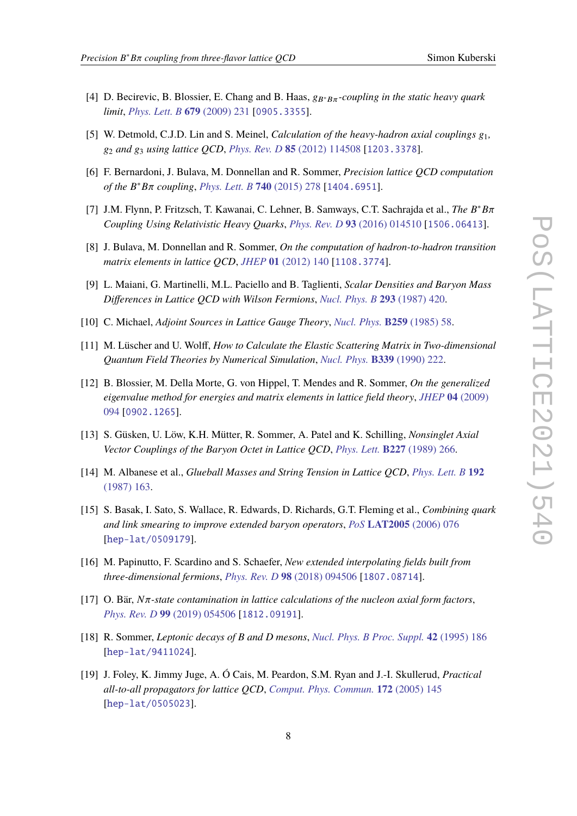- [4] D. Becirevic, B. Blossier, E. Chang and B. Haas,  $g_{B^*B\pi}$ -coupling in the static heavy quark *limit*, *[Phys. Lett. B](https://doi.org/10.1016/j.physletb.2009.07.031)* **679** (2009) 231 [[0905.3355](https://arxiv.org/abs/0905.3355)].
- [5] W. Detmold, C.J.D. Lin and S. Meinel, *Calculation of the heavy-hadron axial couplings*  $g_1$ , g<sup>2</sup> *and* g<sup>3</sup> *using lattice QCD*, *Phys. Rev. D* **85** [\(2012\) 114508](https://doi.org/10.1103/PhysRevD.85.114508) [[1203.3378](https://arxiv.org/abs/1203.3378)].
- <span id="page-7-11"></span>[6] F. Bernardoni, J. Bulava, M. Donnellan and R. Sommer, *Precision lattice QCD computation of the B* <sup>∗</sup>*B*π *coupling*, *[Phys. Lett. B](https://doi.org/10.1016/j.physletb.2014.11.051)* **<sup>740</sup>** (2015) 278 [[1404.6951](https://arxiv.org/abs/1404.6951)].
- <span id="page-7-0"></span>[7] J.M. Flynn, P. Fritzsch, T. Kawanai, C. Lehner, B. Samways, C.T. Sachrajda et al., *The B* ∗*B*π *Coupling Using Relativistic Heavy Quarks*, *Phys. Rev. D* **93** [\(2016\) 014510](https://doi.org/10.1103/PhysRevD.93.014510) [[1506.06413](https://arxiv.org/abs/1506.06413)].
- <span id="page-7-1"></span>[8] J. Bulava, M. Donnellan and R. Sommer, *On the computation of hadron-to-hadron transition matrix elements in lattice QCD*, *JHEP* **01** [\(2012\) 140](https://doi.org/10.1007/JHEP01(2012)140) [[1108.3774](https://arxiv.org/abs/1108.3774)].
- <span id="page-7-2"></span>[9] L. Maiani, G. Martinelli, M.L. Paciello and B. Taglienti, *Scalar Densities and Baryon Mass Differences in Lattice QCD with Wilson Fermions*, *[Nucl. Phys. B](https://doi.org/10.1016/0550-3213(87)90078-2)* **293** (1987) 420.
- <span id="page-7-3"></span>[10] C. Michael, *Adjoint Sources in Lattice Gauge Theory*, *[Nucl. Phys.](https://doi.org/10.1016/0550-3213(85)90297-4)* **B259** (1985) 58.
- [11] M. Lüscher and U. Wolff, *How to Calculate the Elastic Scattering Matrix in Two-dimensional Quantum Field Theories by Numerical Simulation*, *Nucl. Phys.* **B339** [\(1990\) 222.](https://doi.org/10.1016/0550-3213(90)90540-T)
- <span id="page-7-4"></span>[12] B. Blossier, M. Della Morte, G. von Hippel, T. Mendes and R. Sommer, *On the generalized eigenvalue method for energies and matrix elements in lattice field theory*, *JHEP* **04** [\(2009\)](https://doi.org/10.1088/1126-6708/2009/04/094) [094](https://doi.org/10.1088/1126-6708/2009/04/094) [[0902.1265](https://arxiv.org/abs/0902.1265)].
- <span id="page-7-5"></span>[13] S. Güsken, U. Löw, K.H. Mütter, R. Sommer, A. Patel and K. Schilling, *Nonsinglet Axial Vector Couplings of the Baryon Octet in Lattice QCD*, *Phys. Lett.* **B227** [\(1989\) 266.](https://doi.org/10.1016/S0370-2693(89)80034-6)
- [14] M. Albanese et al., *Glueball Masses and String Tension in Lattice QCD*, *[Phys. Lett. B](https://doi.org/10.1016/0370-2693(87)91160-9)* **192** [\(1987\) 163.](https://doi.org/10.1016/0370-2693(87)91160-9)
- <span id="page-7-6"></span>[15] S. Basak, I. Sato, S. Wallace, R. Edwards, D. Richards, G.T. Fleming et al., *Combining quark and link smearing to improve extended baryon operators*, *PoS* **LAT2005** [\(2006\) 076](https://doi.org/10.22323/1.020.0076) [[hep-lat/0509179](https://arxiv.org/abs/hep-lat/0509179)].
- <span id="page-7-7"></span>[16] M. Papinutto, F. Scardino and S. Schaefer, *New extended interpolating fields built from three-dimensional fermions*, *Phys. Rev. D* **98** [\(2018\) 094506](https://doi.org/10.1103/PhysRevD.98.094506) [[1807.08714](https://arxiv.org/abs/1807.08714)].
- <span id="page-7-8"></span>[17] O. Bär, *<sup>N</sup>*π*-state contamination in lattice calculations of the nucleon axial form factors*, *Phys. Rev. D* **99** [\(2019\) 054506](https://doi.org/10.1103/PhysRevD.99.054506) [[1812.09191](https://arxiv.org/abs/1812.09191)].
- <span id="page-7-9"></span>[18] R. Sommer, *Leptonic decays of B and D mesons*, *[Nucl. Phys. B Proc. Suppl.](https://doi.org/10.1016/0920-5632(95)00201-J)* **42** (1995) 186 [[hep-lat/9411024](https://arxiv.org/abs/hep-lat/9411024)].
- <span id="page-7-10"></span>[19] J. Foley, K. Jimmy Juge, A. Ó Cais, M. Peardon, S.M. Ryan and J.-I. Skullerud, *Practical all-to-all propagators for lattice QCD*, *[Comput. Phys. Commun.](https://doi.org/10.1016/j.cpc.2005.06.008)* **172** (2005) 145 [[hep-lat/0505023](https://arxiv.org/abs/hep-lat/0505023)].